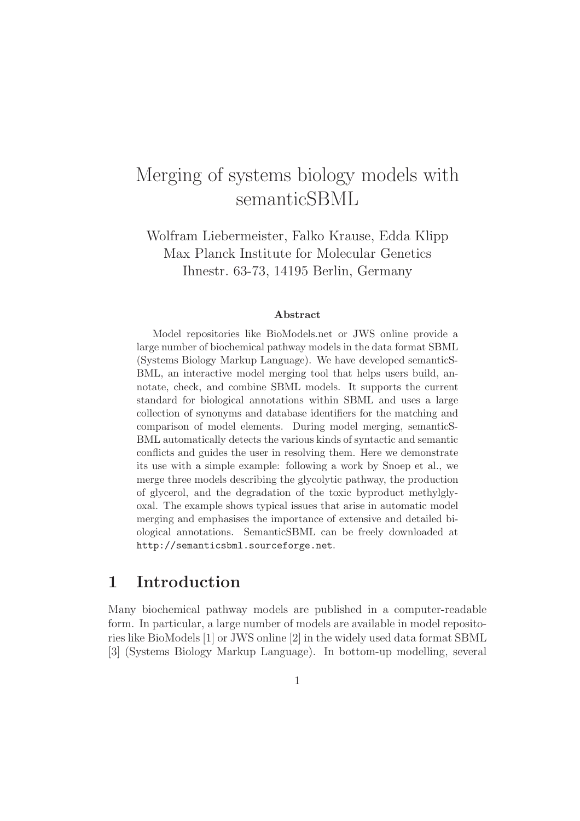# Merging of systems biology models with semanticSBML

Wolfram Liebermeister, Falko Krause, Edda Klipp Max Planck Institute for Molecular Genetics Ihnestr. 63-73, 14195 Berlin, Germany

#### Abstract

Model repositories like BioModels.net or JWS online provide a large number of biochemical pathway models in the data format SBML (Systems Biology Markup Language). We have developed semanticS-BML, an interactive model merging tool that helps users build, annotate, check, and combine SBML models. It supports the current standard for biological annotations within SBML and uses a large collection of synonyms and database identifiers for the matching and comparison of model elements. During model merging, semanticS-BML automatically detects the various kinds of syntactic and semantic conflicts and guides the user in resolving them. Here we demonstrate its use with a simple example: following a work by Snoep et al., we merge three models describing the glycolytic pathway, the production of glycerol, and the degradation of the toxic byproduct methylglyoxal. The example shows typical issues that arise in automatic model merging and emphasises the importance of extensive and detailed biological annotations. SemanticSBML can be freely downloaded at http://semanticsbml.sourceforge.net.

### 1 Introduction

Many biochemical pathway models are published in a computer-readable form. In particular, a large number of models are available in model repositories like BioModels [1] or JWS online [2] in the widely used data format SBML [3] (Systems Biology Markup Language). In bottom-up modelling, several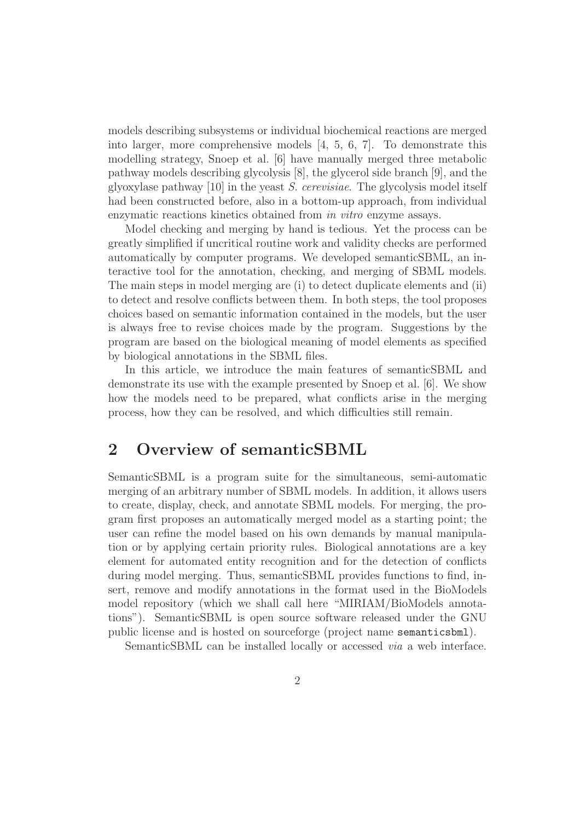models describing subsystems or individual biochemical reactions are merged into larger, more comprehensive models [4, 5, 6, 7]. To demonstrate this modelling strategy, Snoep et al. [6] have manually merged three metabolic pathway models describing glycolysis [8], the glycerol side branch [9], and the glyoxylase pathway [10] in the yeast S. cerevisiae. The glycolysis model itself had been constructed before, also in a bottom-up approach, from individual enzymatic reactions kinetics obtained from in vitro enzyme assays.

Model checking and merging by hand is tedious. Yet the process can be greatly simplified if uncritical routine work and validity checks are performed automatically by computer programs. We developed semanticSBML, an interactive tool for the annotation, checking, and merging of SBML models. The main steps in model merging are (i) to detect duplicate elements and (ii) to detect and resolve conflicts between them. In both steps, the tool proposes choices based on semantic information contained in the models, but the user is always free to revise choices made by the program. Suggestions by the program are based on the biological meaning of model elements as specified by biological annotations in the SBML files.

In this article, we introduce the main features of semanticSBML and demonstrate its use with the example presented by Snoep et al. [6]. We show how the models need to be prepared, what conflicts arise in the merging process, how they can be resolved, and which difficulties still remain.

### 2 Overview of semanticSBML

SemanticSBML is a program suite for the simultaneous, semi-automatic merging of an arbitrary number of SBML models. In addition, it allows users to create, display, check, and annotate SBML models. For merging, the program first proposes an automatically merged model as a starting point; the user can refine the model based on his own demands by manual manipulation or by applying certain priority rules. Biological annotations are a key element for automated entity recognition and for the detection of conflicts during model merging. Thus, semanticSBML provides functions to find, insert, remove and modify annotations in the format used in the BioModels model repository (which we shall call here "MIRIAM/BioModels annotations"). SemanticSBML is open source software released under the GNU public license and is hosted on sourceforge (project name semanticsbml).

SemanticSBML can be installed locally or accessed *via* a web interface.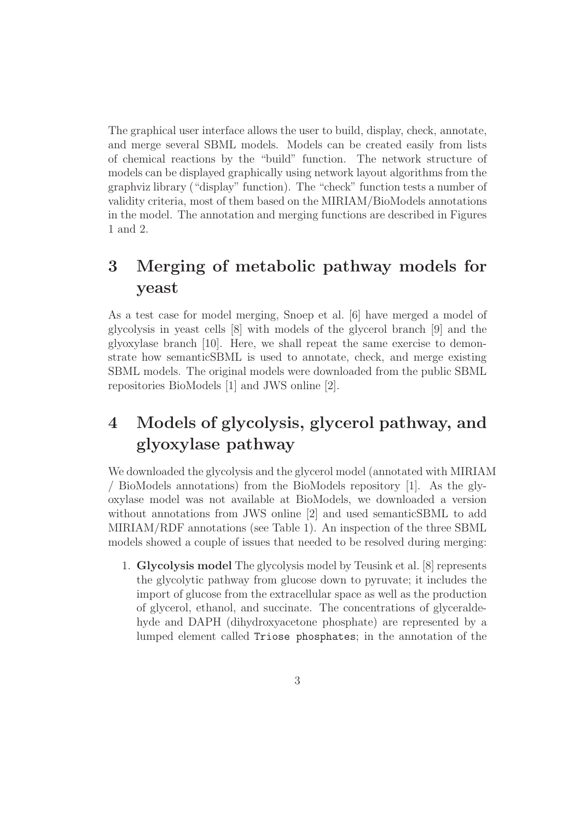The graphical user interface allows the user to build, display, check, annotate, and merge several SBML models. Models can be created easily from lists of chemical reactions by the "build" function. The network structure of models can be displayed graphically using network layout algorithms from the graphviz library ("display" function). The "check" function tests a number of validity criteria, most of them based on the MIRIAM/BioModels annotations in the model. The annotation and merging functions are described in Figures 1 and 2.

### 3 Merging of metabolic pathway models for yeast

As a test case for model merging, Snoep et al. [6] have merged a model of glycolysis in yeast cells [8] with models of the glycerol branch [9] and the glyoxylase branch [10]. Here, we shall repeat the same exercise to demonstrate how semanticSBML is used to annotate, check, and merge existing SBML models. The original models were downloaded from the public SBML repositories BioModels [1] and JWS online [2].

## 4 Models of glycolysis, glycerol pathway, and glyoxylase pathway

We downloaded the glycolysis and the glycerol model (annotated with MIRIAM / BioModels annotations) from the BioModels repository [1]. As the glyoxylase model was not available at BioModels, we downloaded a version without annotations from JWS online [2] and used semanticSBML to add MIRIAM/RDF annotations (see Table 1). An inspection of the three SBML models showed a couple of issues that needed to be resolved during merging:

1. Glycolysis model The glycolysis model by Teusink et al. [8] represents the glycolytic pathway from glucose down to pyruvate; it includes the import of glucose from the extracellular space as well as the production of glycerol, ethanol, and succinate. The concentrations of glyceraldehyde and DAPH (dihydroxyacetone phosphate) are represented by a lumped element called Triose phosphates; in the annotation of the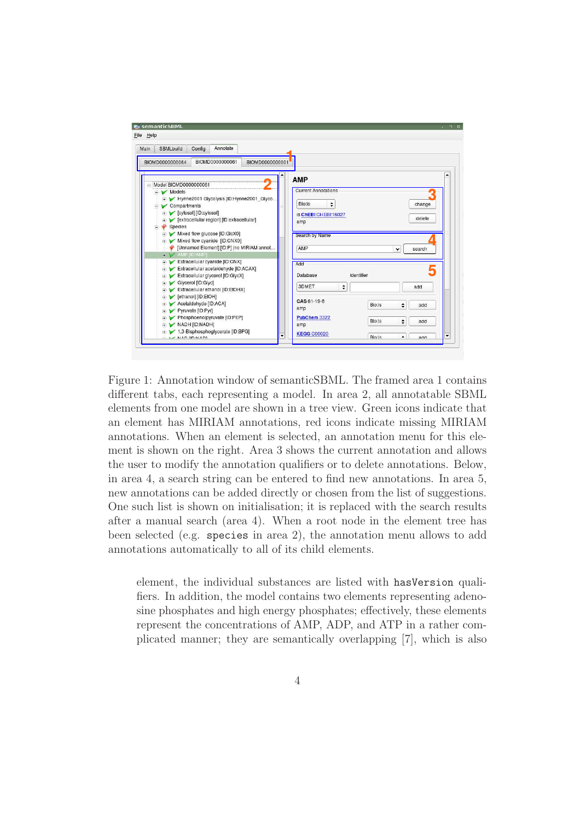

Figure 1: Annotation window of semanticSBML. The framed area 1 contains different tabs, each representing a model. In area 2, all annotatable SBML elements from one model are shown in a tree view. Green icons indicate that an element has MIRIAM annotations, red icons indicate missing MIRIAM annotations. When an element is selected, an annotation menu for this element is shown on the right. Area 3 shows the current annotation and allows the user to modify the annotation qualifiers or to delete annotations. Below, in area 4, a search string can be entered to find new annotations. In area 5, new annotations can be added directly or chosen from the list of suggestions. One such list is shown on initialisation; it is replaced with the search results after a manual search (area 4). When a root node in the element tree has been selected (e.g. species in area 2), the annotation menu allows to add annotations automatically to all of its child elements.

element, the individual substances are listed with hasVersion qualifiers. In addition, the model contains two elements representing adenosine phosphates and high energy phosphates; effectively, these elements represent the concentrations of AMP, ADP, and ATP in a rather complicated manner; they are semantically overlapping [7], which is also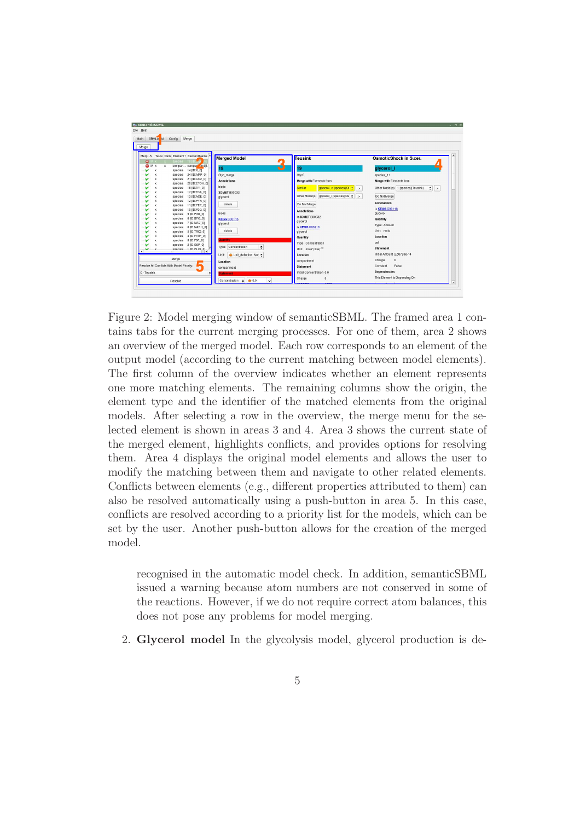

Figure 2: Model merging window of semanticSBML. The framed area 1 contains tabs for the current merging processes. For one of them, area 2 shows an overview of the merged model. Each row corresponds to an element of the output model (according to the current matching between model elements). The first column of the overview indicates whether an element represents one more matching elements. The remaining columns show the origin, the element type and the identifier of the matched elements from the original models. After selecting a row in the overview, the merge menu for the selected element is shown in areas 3 and 4. Area 3 shows the current state of the merged element, highlights conflicts, and provides options for resolving them. Area 4 displays the original model elements and allows the user to modify the matching between them and navigate to other related elements. Conflicts between elements (e.g., different properties attributed to them) can also be resolved automatically using a push-button in area 5. In this case, conflicts are resolved according to a priority list for the models, which can be set by the user. Another push-button allows for the creation of the merged model.

recognised in the automatic model check. In addition, semanticSBML issued a warning because atom numbers are not conserved in some of the reactions. However, if we do not require correct atom balances, this does not pose any problems for model merging.

2. Glycerol model In the glycolysis model, glycerol production is de-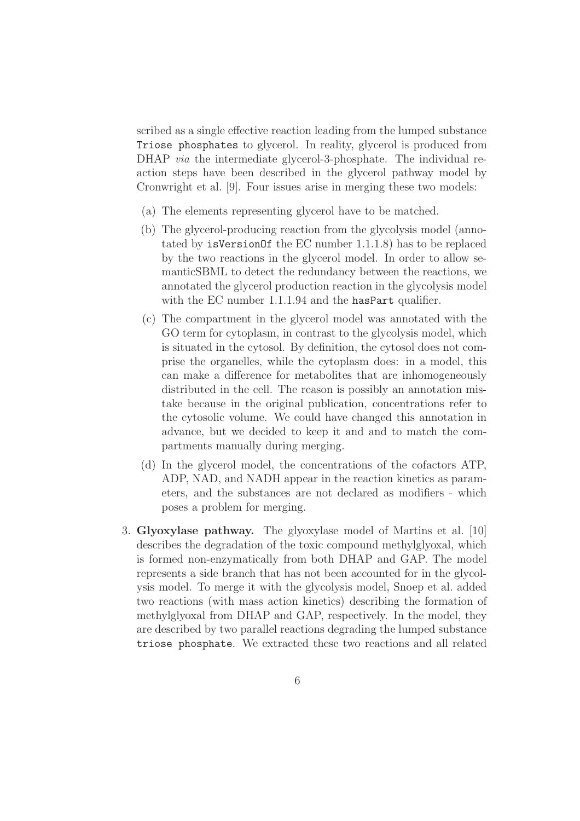scribed as a single effective reaction leading from the lumped substance Triose phosphates to glycerol. In reality, glycerol is produced from DHAP *via* the intermediate glycerol-3-phosphate. The individual reaction steps have been described in the glycerol pathway model by Cronwright et al. [9]. Four issues arise in merging these two models:

- (a) The elements representing glycerol have to be matched.
- (b) The glycerol-producing reaction from the glycolysis model (annotated by isVersionOf the EC number 1.1.1.8) has to be replaced by the two reactions in the glycerol model. In order to allow semanticSBML to detect the redundancy between the reactions, we annotated the glycerol production reaction in the glycolysis model with the EC number 1.1.1.94 and the hasPart qualifier.
- (c) The compartment in the glycerol model was annotated with the GO term for cytoplasm, in contrast to the glycolysis model, which is situated in the cytosol. By definition, the cytosol does not comprise the organelles, while the cytoplasm does: in a model, this can make a difference for metabolites that are inhomogeneously distributed in the cell. The reason is possibly an annotation mistake because in the original publication, concentrations refer to the cytosolic volume. We could have changed this annotation in advance, but we decided to keep it and and to match the compartments manually during merging.
- (d) In the glycerol model, the concentrations of the cofactors ATP, ADP, NAD, and NADH appear in the reaction kinetics as parameters, and the substances are not declared as modifiers - which poses a problem for merging.
- 3. Glyoxylase pathway. The glyoxylase model of Martins et al. [10] describes the degradation of the toxic compound methylglyoxal, which is formed non-enzymatically from both DHAP and GAP. The model represents a side branch that has not been accounted for in the glycolysis model. To merge it with the glycolysis model, Snoep et al. added two reactions (with mass action kinetics) describing the formation of methylglyoxal from DHAP and GAP, respectively. In the model, they are described by two parallel reactions degrading the lumped substance triose phosphate. We extracted these two reactions and all related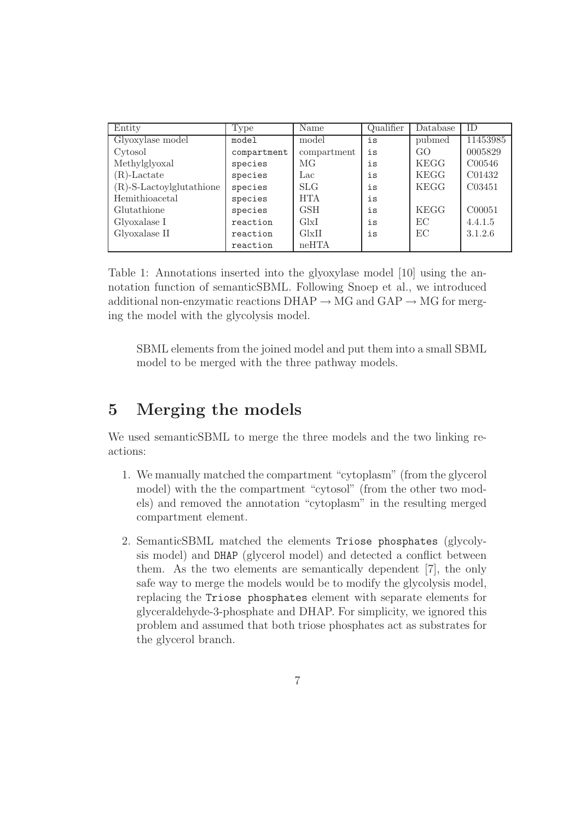| Entity                      | Type        | Name        | Qualifier | Database    | ID.      |
|-----------------------------|-------------|-------------|-----------|-------------|----------|
| Glyoxylase model            | model       | model       | is        | pubmed      | 11453985 |
| Cytosol                     | compartment | compartment | is        | GO          | 0005829  |
| Methylglyoxal               | species     | MG          | is        | <b>KEGG</b> | C00546   |
| $(R)$ -Lactate              | species     | Lac         | is        | <b>KEGG</b> | C01432   |
| $(R)$ -S-Lactoylglutathione | species     | <b>SLG</b>  | is        | <b>KEGG</b> | C03451   |
| Hemithioacetal              | species     | <b>HTA</b>  | is        |             |          |
| Glutathione                 | species     | <b>GSH</b>  | is        | <b>KEGG</b> | C00051   |
| Glyoxalase I                | reaction    | GlxI        | is        | ЕC          | 4.4.1.5  |
| Glyoxalase II               | reaction    | G[x]        | is        | EC          | 3.1.2.6  |
|                             | reaction    | neHTA       |           |             |          |

Table 1: Annotations inserted into the glyoxylase model [10] using the annotation function of semanticSBML. Following Snoep et al., we introduced additional non-enzymatic reactions  $DHAP \rightarrow MG$  and  $GAP \rightarrow MG$  for merging the model with the glycolysis model.

SBML elements from the joined model and put them into a small SBML model to be merged with the three pathway models.

### 5 Merging the models

We used semanticSBML to merge the three models and the two linking reactions:

- 1. We manually matched the compartment "cytoplasm" (from the glycerol model) with the the compartment "cytosol" (from the other two models) and removed the annotation "cytoplasm" in the resulting merged compartment element.
- 2. SemanticSBML matched the elements Triose phosphates (glycolysis model) and DHAP (glycerol model) and detected a conflict between them. As the two elements are semantically dependent [7], the only safe way to merge the models would be to modify the glycolysis model, replacing the Triose phosphates element with separate elements for glyceraldehyde-3-phosphate and DHAP. For simplicity, we ignored this problem and assumed that both triose phosphates act as substrates for the glycerol branch.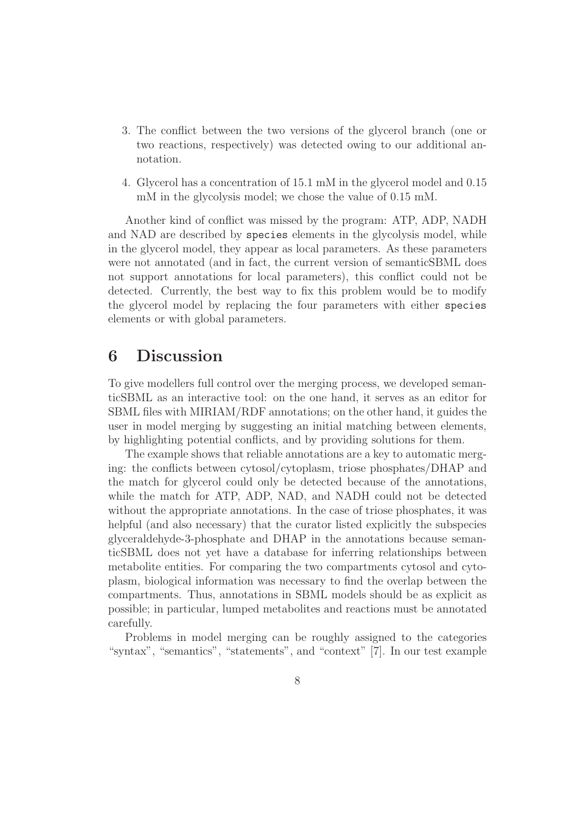- 3. The conflict between the two versions of the glycerol branch (one or two reactions, respectively) was detected owing to our additional annotation.
- 4. Glycerol has a concentration of 15.1 mM in the glycerol model and 0.15 mM in the glycolysis model; we chose the value of 0.15 mM.

Another kind of conflict was missed by the program: ATP, ADP, NADH and NAD are described by species elements in the glycolysis model, while in the glycerol model, they appear as local parameters. As these parameters were not annotated (and in fact, the current version of semanticSBML does not support annotations for local parameters), this conflict could not be detected. Currently, the best way to fix this problem would be to modify the glycerol model by replacing the four parameters with either species elements or with global parameters.

#### 6 Discussion

To give modellers full control over the merging process, we developed semanticSBML as an interactive tool: on the one hand, it serves as an editor for SBML files with MIRIAM/RDF annotations; on the other hand, it guides the user in model merging by suggesting an initial matching between elements, by highlighting potential conflicts, and by providing solutions for them.

The example shows that reliable annotations are a key to automatic merging: the conflicts between cytosol/cytoplasm, triose phosphates/DHAP and the match for glycerol could only be detected because of the annotations, while the match for ATP, ADP, NAD, and NADH could not be detected without the appropriate annotations. In the case of triose phosphates, it was helpful (and also necessary) that the curator listed explicitly the subspecies glyceraldehyde-3-phosphate and DHAP in the annotations because semanticSBML does not yet have a database for inferring relationships between metabolite entities. For comparing the two compartments cytosol and cytoplasm, biological information was necessary to find the overlap between the compartments. Thus, annotations in SBML models should be as explicit as possible; in particular, lumped metabolites and reactions must be annotated carefully.

Problems in model merging can be roughly assigned to the categories "syntax", "semantics", "statements", and "context" [7]. In our test example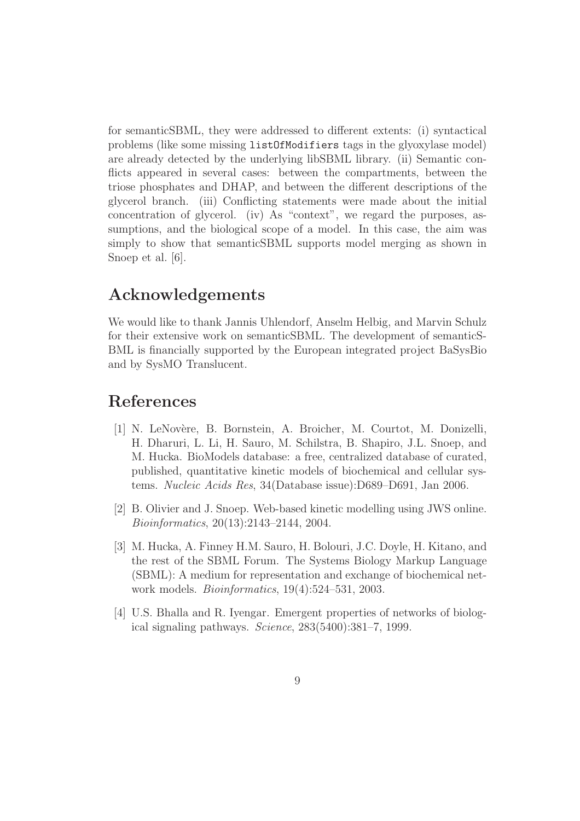for semanticSBML, they were addressed to different extents: (i) syntactical problems (like some missing listOfModifiers tags in the glyoxylase model) are already detected by the underlying libSBML library. (ii) Semantic conflicts appeared in several cases: between the compartments, between the triose phosphates and DHAP, and between the different descriptions of the glycerol branch. (iii) Conflicting statements were made about the initial concentration of glycerol. (iv) As "context", we regard the purposes, assumptions, and the biological scope of a model. In this case, the aim was simply to show that semanticSBML supports model merging as shown in Snoep et al. [6].

### Acknowledgements

We would like to thank Jannis Uhlendorf, Anselm Helbig, and Marvin Schulz for their extensive work on semanticSBML. The development of semanticS-BML is financially supported by the European integrated project BaSysBio and by SysMO Translucent.

### References

- [1] N. LeNov`ere, B. Bornstein, A. Broicher, M. Courtot, M. Donizelli, H. Dharuri, L. Li, H. Sauro, M. Schilstra, B. Shapiro, J.L. Snoep, and M. Hucka. BioModels database: a free, centralized database of curated, published, quantitative kinetic models of biochemical and cellular systems. Nucleic Acids Res, 34(Database issue):D689–D691, Jan 2006.
- [2] B. Olivier and J. Snoep. Web-based kinetic modelling using JWS online. Bioinformatics, 20(13):2143–2144, 2004.
- [3] M. Hucka, A. Finney H.M. Sauro, H. Bolouri, J.C. Doyle, H. Kitano, and the rest of the SBML Forum. The Systems Biology Markup Language (SBML): A medium for representation and exchange of biochemical network models. Bioinformatics, 19(4):524–531, 2003.
- [4] U.S. Bhalla and R. Iyengar. Emergent properties of networks of biological signaling pathways. Science, 283(5400):381–7, 1999.